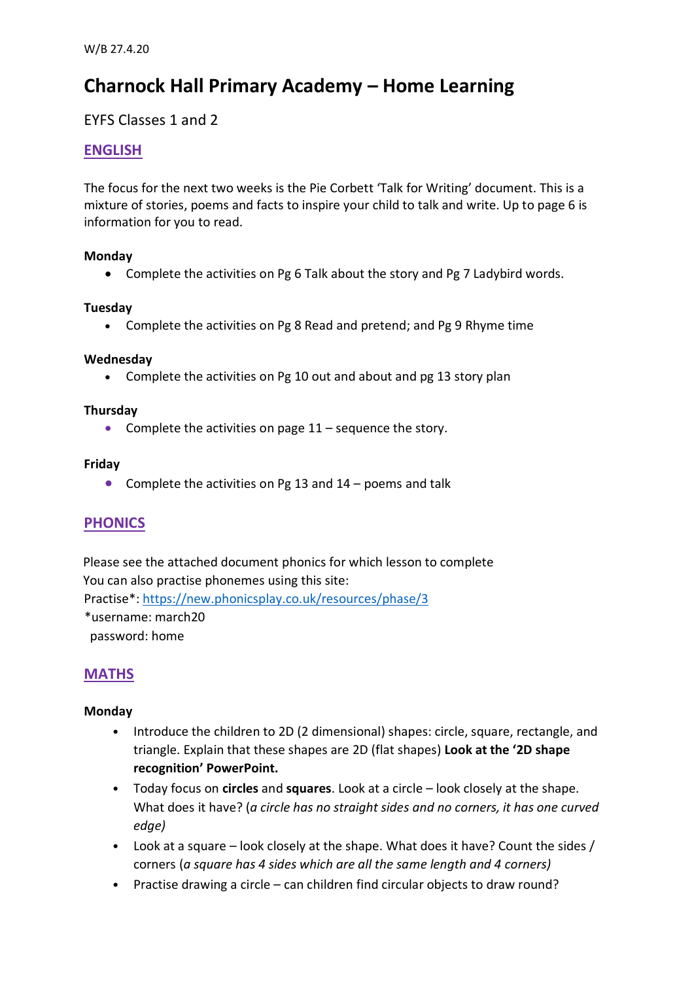# **Charnock Hall Primary Academy – Home Learning**

EYFS Classes 1 and 2

# **ENGLISH**

The focus for the next two weeks is the Pie Corbett 'Talk for Writing' document. This is a mixture of stories, poems and facts to inspire your child to talk and write. Up to page 6 is information for you to read.

# **Monday**

Complete the activities on Pg 6 Talk about the story and Pg 7 Ladybird words.

# **Tuesday**

Complete the activities on Pg 8 Read and pretend; and Pg 9 Rhyme time

# **Wednesday**

• Complete the activities on Pg 10 out and about and pg 13 story plan

#### **Thursday**

• Complete the activities on page  $11$  – sequence the story.

# **Friday**

• Complete the activities on Pg 13 and  $14$  – poems and talk

# **PHONICS**

Please see the attached document phonics for which lesson to complete You can also practise phonemes using this site: Practise\*:<https://new.phonicsplay.co.uk/resources/phase/3> \*username: march20 password: home

# **MATHS**

# **Monday**

- Introduce the children to 2D (2 dimensional) shapes: circle, square, rectangle, and triangle. Explain that these shapes are 2D (flat shapes) **Look at the '2D shape recognition' PowerPoint.**
- Today focus on **circles** and **squares**. Look at a circle look closely at the shape. What does it have? (*a circle has no straight sides and no corners, it has one curved edge)*
- Look at a square look closely at the shape. What does it have? Count the sides / corners (*a square has 4 sides which are all the same length and 4 corners)*
- Practise drawing a circle can children find circular objects to draw round?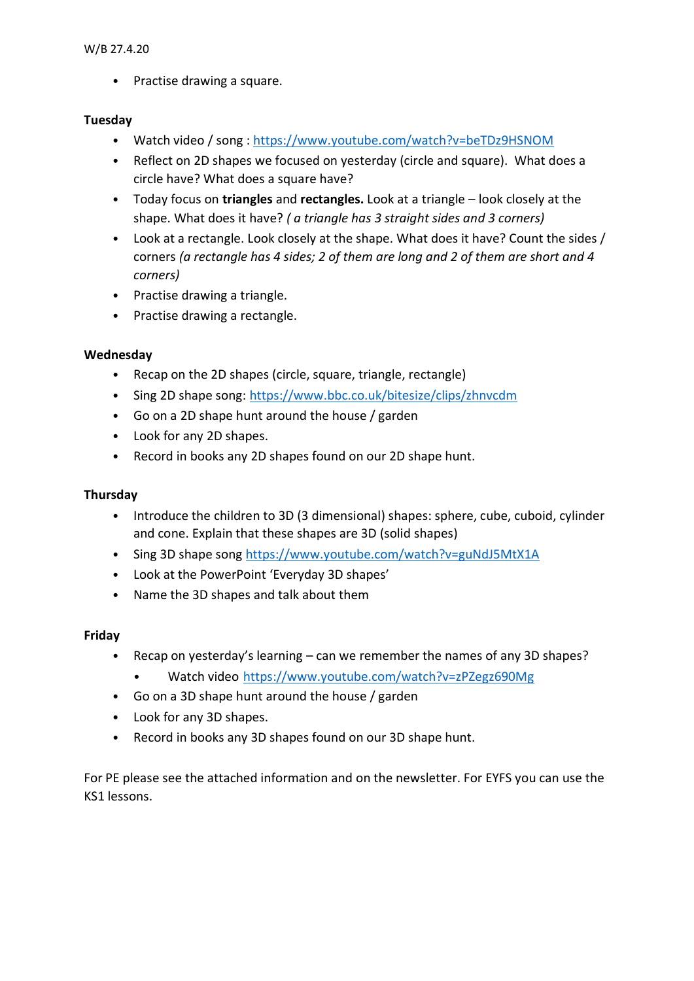• Practise drawing a square.

# **Tuesday**

- Watch video / song :<https://www.youtube.com/watch?v=beTDz9HSNOM>
- Reflect on 2D shapes we focused on yesterday (circle and square). What does a circle have? What does a square have?
- Today focus on **triangles** and **rectangles.** Look at a triangle look closely at the shape. What does it have? *( a triangle has 3 straight sides and 3 corners)*
- Look at a rectangle. Look closely at the shape. What does it have? Count the sides / corners *(a rectangle has 4 sides; 2 of them are long and 2 of them are short and 4 corners)*
- Practise drawing a triangle.
- Practise drawing a rectangle.

# **Wednesday**

- Recap on the 2D shapes (circle, square, triangle, rectangle)
- Sing 2D shape song:<https://www.bbc.co.uk/bitesize/clips/zhnvcdm>
- Go on a 2D shape hunt around the house / garden
- Look for any 2D shapes.
- Record in books any 2D shapes found on our 2D shape hunt.

# **Thursday**

- Introduce the children to 3D (3 dimensional) shapes: sphere, cube, cuboid, cylinder and cone. Explain that these shapes are 3D (solid shapes)
- Sing 3D shape song<https://www.youtube.com/watch?v=guNdJ5MtX1A>
- Look at the PowerPoint 'Everyday 3D shapes'
- Name the 3D shapes and talk about them

# **Friday**

- Recap on yesterday's learning can we remember the names of any 3D shapes?
	- Watch video <https://www.youtube.com/watch?v=zPZegz690Mg>
- Go on a 3D shape hunt around the house / garden
- Look for any 3D shapes.
- Record in books any 3D shapes found on our 3D shape hunt.

For PE please see the attached information and on the newsletter. For EYFS you can use the KS1 lessons.